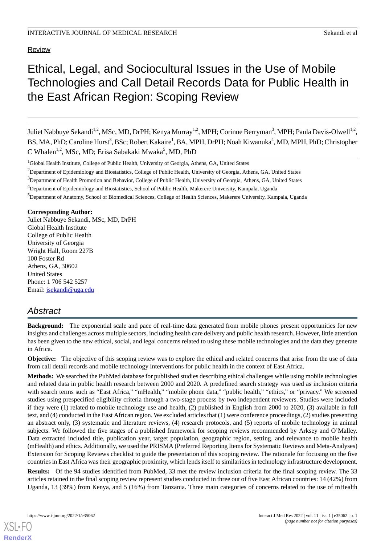**Review** 

# Ethical, Legal, and Sociocultural Issues in the Use of Mobile Technologies and Call Detail Records Data for Public Health in the East African Region: Scoping Review

Juliet Nabbuye Sekandi<sup>1,2</sup>, MSc, MD, DrPH; Kenya Murray<sup>1,2</sup>, MPH; Corinne Berryman<sup>3</sup>, MPH; Paula Davis-Olwell<sup>1,2</sup>, BS, MA, PhD; Caroline Hurst<sup>3</sup>, BSc; Robert Kakaire<sup>1</sup>, BA, MPH, DrPH; Noah Kiwanuka<sup>4</sup>, MD, MPH, PhD; Christopher C Whalen<sup>1,2</sup>, MSc, MD; Erisa Sabakaki Mwaka<sup>5</sup>, MD, PhD

**Corresponding Author:**

Juliet Nabbuye Sekandi, MSc, MD, DrPH Global Health Institute College of Public Health University of Georgia Wright Hall, Room 227B 100 Foster Rd Athens, GA, 30602 United States Phone: 1 706 542 5257 Email: [jsekandi@uga.edu](mailto:jsekandi@uga.edu)

## *Abstract*

**Background:** The exponential scale and pace of real-time data generated from mobile phones present opportunities for new insights and challenges across multiple sectors, including health care delivery and public health research. However, little attention has been given to the new ethical, social, and legal concerns related to using these mobile technologies and the data they generate in Africa.

**Objective:** The objective of this scoping review was to explore the ethical and related concerns that arise from the use of data from call detail records and mobile technology interventions for public health in the context of East Africa.

**Methods:** We searched the PubMed database for published studies describing ethical challenges while using mobile technologies and related data in public health research between 2000 and 2020. A predefined search strategy was used as inclusion criteria with search terms such as "East Africa," "mHealth," "mobile phone data," "public health," "ethics," or "privacy." We screened studies using prespecified eligibility criteria through a two-stage process by two independent reviewers. Studies were included if they were (1) related to mobile technology use and health, (2) published in English from 2000 to 2020, (3) available in full text, and (4) conducted in the East African region. We excluded articles that (1) were conference proceedings, (2) studies presenting an abstract only, (3) systematic and literature reviews, (4) research protocols, and (5) reports of mobile technology in animal subjects. We followed the five stages of a published framework for scoping reviews recommended by Arksey and O'Malley. Data extracted included title, publication year, target population, geographic region, setting, and relevance to mobile health (mHealth) and ethics. Additionally, we used the PRISMA (Preferred Reporting Items for Systematic Reviews and Meta-Analyses) Extension for Scoping Reviews checklist to guide the presentation of this scoping review. The rationale for focusing on the five countries in East Africa was their geographic proximity, which lends itself to similarities in technology infrastructure development.

**Results:** Of the 94 studies identified from PubMed, 33 met the review inclusion criteria for the final scoping review. The 33 articles retained in the final scoping review represent studies conducted in three out of five East African countries: 14 (42%) from Uganda, 13 (39%) from Kenya, and 5 (16%) from Tanzania. Three main categories of concerns related to the use of mHealth

<sup>&</sup>lt;sup>1</sup>Global Health Institute, College of Public Health, University of Georgia, Athens, GA, United States

<sup>&</sup>lt;sup>2</sup>Department of Epidemiology and Biostatistics, College of Public Health, University of Georgia, Athens, GA, United States

<sup>&</sup>lt;sup>3</sup>Department of Health Promotion and Behavior, College of Public Health, University of Georgia, Athens, GA, United States

<sup>4</sup>Department of Epidemiology and Biostatistics, School of Public Health, Makerere University, Kampala, Uganda

<sup>5</sup>Department of Anatomy, School of Biomedical Sciences, College of Health Sciences, Makerere University, Kampala, Uganda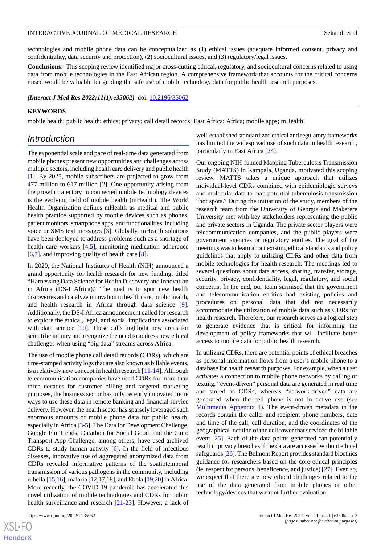technologies and mobile phone data can be conceptualized as (1) ethical issues (adequate informed consent, privacy and confidentiality, data security and protection), (2) sociocultural issues, and (3) regulatory/legal issues.

**Conclusions:** This scoping review identified major cross-cutting ethical, regulatory, and sociocultural concerns related to using data from mobile technologies in the East African region. A comprehensive framework that accounts for the critical concerns raised would be valuable for guiding the safe use of mobile technology data for public health research purposes.

*(Interact J Med Res 2022;11(1):e35062)* doi: [10.2196/35062](http://dx.doi.org/10.2196/35062)

#### **KEYWORDS**

mobile health; public health; ethics; privacy; call detail records; East Africa; Africa; mobile apps; mHealth

## *Introduction*

The exponential scale and pace of real-time data generated from mobile phones present new opportunities and challenges across multiple sectors, including health care delivery and public health [[1\]](#page-10-0). By 2025, mobile subscribers are projected to grow from 477 million to 617 million [[2\]](#page-10-1). One opportunity arising from the growth trajectory in connected mobile technology devices is the evolving field of mobile health (mHealth). The World Health Organization defines mHealth as medical and public health practice supported by mobile devices such as phones, patient monitors, smartphone apps, and functionalities, including voice or SMS text messages [[3\]](#page-10-2). Globally, mHealth solutions have been deployed to address problems such as a shortage of health care workers [\[4](#page-10-3),[5\]](#page-10-4), monitoring medication adherence [[6](#page-10-5)[,7](#page-10-6)], and improving quality of health care [\[8](#page-10-7)].

In 2020, the National Institutes of Health (NIH) announced a grand opportunity for health research for new funding, titled "Harnessing Data Science for Health Discovery and Innovation in Africa (DS-I Africa)." The goal is to spur new health discoveries and catalyze innovation in health care, public health, and health research in Africa through data science [[9\]](#page-10-8). Additionally, the DS-I Africa announcement called for research to explore the ethical, legal, and social implications associated with data science [[10\]](#page-10-9). These calls highlight new areas for scientific inquiry and recognize the need to address new ethical challenges when using "big data" streams across Africa.

The use of mobile phone call detail records (CDRs), which are time-stamped activity logs that are also known as billable events, is a relatively new concept in health research [[11-](#page-10-10)[14](#page-10-11)]. Although telecommunication companies have used CDRs for more than three decades for customer billing and targeted marketing purposes, the business sector has only recently innovated more ways to use these data in remote banking and financial service delivery. However, the health sector has sparsely leveraged such enormous amounts of mobile phone data for public health, especially in Africa [\[3](#page-10-2)[-5](#page-10-4)]. The Data for Development Challenge, Google Flu Trends, Datathon for Social Good, and the Cairo Transport App Challenge, among others, have used archived CDRs to study human activity [[6](#page-10-5)]. In the field of infectious diseases, innovative use of aggregated anonymized data from CDRs revealed informative patterns of the spatiotemporal transmission of various pathogens in the community, including rubella [\[15](#page-10-12),[16](#page-10-13)], malaria [\[12](#page-10-14)[,17](#page-10-15),[18\]](#page-11-0), and Ebola [[19,](#page-11-1)[20](#page-11-2)] in Africa. More recently, the COVID-19 pandemic has accelerated this novel utilization of mobile technologies and CDRs for public health surveillance and research [[21-](#page-11-3)[23\]](#page-11-4). However, a lack of

[XSL](http://www.w3.org/Style/XSL)•FO **[RenderX](http://www.renderx.com/)** well-established standardized ethical and regulatory frameworks has limited the widespread use of such data in health research, particularly in East Africa [[24\]](#page-11-5).

Our ongoing NIH-funded Mapping Tuberculosis Transmission Study (MATTS) in Kampala, Uganda, motivated this scoping review. MATTS takes a unique approach that utilizes individual-level CDRs combined with epidemiologic surveys and molecular data to map potential tuberculosis transmission "hot spots." During the initiation of the study, members of the research team from the University of Georgia and Makerere University met with key stakeholders representing the public and private sectors in Uganda. The private sector players were telecommunication companies, and the public players were government agencies or regulatory entities. The goal of the meetings was to learn about existing ethical standards and policy guidelines that apply to utilizing CDRs and other data from mobile technologies for health research. The meetings led to several questions about data access, sharing, transfer, storage, security, privacy, confidentiality, legal, regulatory, and social concerns. In the end, our team surmised that the government and telecommunication entities had existing policies and procedures on personal data that did not necessarily accommodate the utilization of mobile data such as CDRs for health research. Therefore, our research serves as a logical step to generate evidence that is critical for informing the development of policy frameworks that will facilitate better access to mobile data for public health research.

In utilizing CDRs, there are potential points of ethical breaches as personal information flows from a user's mobile phone to a database for health research purposes. For example, when a user activates a connection to mobile phone networks by calling or texting, "event-driven" personal data are generated in real time and stored as CDRs, whereas "network-driven" data are generated when the cell phone is not in active use (see [Multimedia Appendix 1\)](#page-10-16). The event-driven metadata in the records contain the caller and recipient phone numbers, date and time of the call, call duration, and the coordinates of the geographical location of the cell tower that serviced the billable event [[25\]](#page-11-6). Each of the data points generated can potentially result in privacy breaches if the data are accessed without ethical safeguards [\[26\]](#page-11-7). The Belmont Report provides standard bioethics guidance for researchers based on the core ethical principles (ie, respect for persons, beneficence, and justice) [\[27](#page-11-8)]. Even so, we expect that there are new ethical challenges related to the use of the data generated from mobile phones or other technology/devices that warrant further evaluation.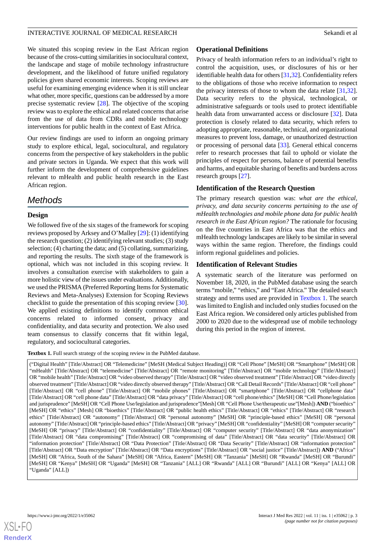We situated this scoping review in the East African region because of the cross-cutting similarities in sociocultural context, the landscape and stage of mobile technology infrastructure development, and the likelihood of future unified regulatory policies given shared economic interests. Scoping reviews are useful for examining emerging evidence when it is still unclear what other, more specific, questions can be addressed by a more precise systematic review [\[28](#page-11-9)]. The objective of the scoping review was to explore the ethical and related concerns that arise from the use of data from CDRs and mobile technology interventions for public health in the context of East Africa.

Our review findings are used to inform an ongoing primary study to explore ethical, legal, sociocultural, and regulatory concerns from the perspective of key stakeholders in the public and private sectors in Uganda. We expect that this work will further inform the development of comprehensive guidelines relevant to mHealth and public health research in the East African region.

## *Methods*

## **Design**

We followed five of the six stages of the framework for scoping reviews proposed by Arksey and O'Malley [\[29](#page-11-10)]: (1) identifying the research question; (2) identifying relevant studies; (3) study selection; (4) charting the data; and (5) collating, summarizing, and reporting the results. The sixth stage of the framework is optional, which was not included in this scoping review. It involves a consultation exercise with stakeholders to gain a more holistic view of the issues under evaluations. Additionally, we used the PRISMA (Preferred Reporting Items for Systematic Reviews and Meta-Analyses) Extension for Scoping Reviews checklist to guide the presentation of this scoping review [[30\]](#page-11-11). We applied existing definitions to identify common ethical concerns related to informed consent, privacy and confidentiality, and data security and protection. We also used team consensus to classify concerns that fit within legal, regulatory, and sociocultural categories.

<span id="page-2-0"></span>Textbox 1. Full search strategy of the scoping review in the PubMed database.

## **Operational Definitions**

Privacy of health information refers to an individual's right to control the acquisition, uses, or disclosures of his or her identifiable health data for others [\[31](#page-11-12),[32\]](#page-11-13). Confidentiality refers to the obligations of those who receive information to respect the privacy interests of those to whom the data relate [\[31](#page-11-12),[32\]](#page-11-13). Data security refers to the physical, technological, or administrative safeguards or tools used to protect identifiable health data from unwarranted access or disclosure [[32\]](#page-11-13). Data protection is closely related to data security, which refers to adopting appropriate, reasonable, technical, and organizational measures to prevent loss, damage, or unauthorized destruction or processing of personal data [\[33](#page-11-14)]. General ethical concerns refer to research processes that fail to uphold or violate the principles of respect for persons, balance of potential benefits and harms, and equitable sharing of benefits and burdens across research groups [\[27](#page-11-8)].

## **Identification of the Research Question**

The primary research question was: *what are the ethical, privacy, and data security concerns pertaining to the use of mHealth technologies and mobile phone data for public health research in the East African region?* The rationale for focusing on the five countries in East Africa was that the ethics and mHealth technology landscapes are likely to be similar in several ways within the same region. Therefore, the findings could inform regional guidelines and policies.

## **Identification of Relevant Studies**

A systematic search of the literature was performed on November 18, 2020, in the PubMed database using the search terms "mobile," "ethics," and "East Africa." The detailed search strategy and terms used are provided in [Textbox 1.](#page-2-0) The search was limited to English and included only studies focused on the East Africa region. We considered only articles published from 2000 to 2020 due to the widespread use of mobile technology during this period in the region of interest.

("Digital Health" [Title/Abstract] OR "Telemedicine" [MeSH (Medical Subject Heading)] OR "Cell Phone" [MeSH] OR "Smartphone" [MeSH] OR "mHealth" [Title/Abstract] OR "telemedicine" [Title/Abstract] OR "remote monitoring" [Title/Abstract] OR "mobile technology" [Title/Abstract] OR "mobile health" [Title/Abstract] OR "video observed therapy" [Title/Abstract] OR "video observed treatment" [Title/Abstract] OR "video directly observed treatment" [Title/Abstract] OR "video directly observed therapy" [Title/Abstract] OR "Call Detail Records" [Title/Abstract] OR "cell phone" [Title/Abstract] OR "cell phone" [Title/Abstract] OR "mobile phones" [Title/Abstract] OR "smartphone" [Title/Abstract] OR "cellphone data" [Title/Abstract] OR "cell phone data" [Title/Abstract] OR "data privacy" [Title/Abstract] OR "cell phone/ethics" [MeSH] OR "Cell Phone/legislation and jurisprudence" [MeSH] OR "Cell Phone Use/legislation and jurisprudence"[Mesh] OR "Cell Phone Use/therapeutic use"[Mesh]) **AND** ("bioethics" [MeSH] OR "ethics" [Mesh] OR "bioethics" [Title/Abstract] OR "public health ethics" [Title/Abstract] OR "ethics" [Title/Abstract] OR "research ethics" [Title/Abstract] OR "autonomy" [Title/Abstract] OR "personal autonomy" [MeSH] OR "principle-based ethics" [MeSH] OR "personal autonomy" [Title/Abstract] OR "principle-based ethics" [Title/Abstract] OR "privacy" [MeSH] OR "confidentiality" [MeSH] OR "computer security" [MeSH] OR "privacy" [Title/Abstract] OR "confidentiality" [Title/Abstract] OR "computer security" [Title/Abstract] OR "data anonymization" [Title/Abstract] OR "data compromising" [Title/Abstract] OR "compromising of data" [Title/Abstract] OR "data security" [Title/Abstract] OR "information protection" [Title/Abstract] OR "Data Protection" [Title/Abstract] OR "Data Security" [Title/Abstract] OR "information protection" [Title/Abstract] OR "Data encryption" [Title/Abstract] OR "Data encryptions" [Title/Abstract] OR "social justice" [Title/Abstract]) **AND** ("Africa" [MeSH] OR "Africa, South of the Sahara" [MeSH] OR "Africa, Eastern" [MeSH] OR "Tanzania" [MeSH] OR "Rwanda" [MeSH] OR "Burundi" [MeSH] OR "Kenya" [MeSH] OR "Uganda" [MeSH] OR "Tanzania" [ALL] OR "Rwanda" [ALL] OR "Burundi" [ALL] OR "Kenya" [ALL] OR "Uganda" [ALL])

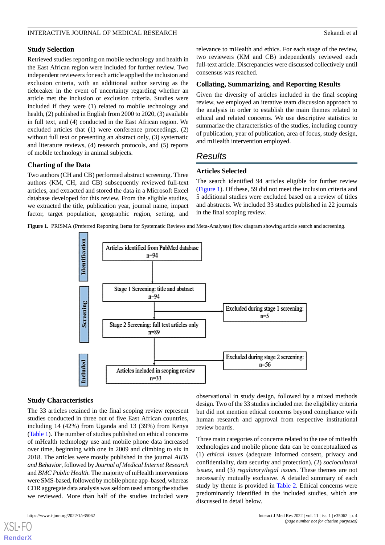#### **Study Selection**

Retrieved studies reporting on mobile technology and health in the East African region were included for further review. Two independent reviewers for each article applied the inclusion and exclusion criteria, with an additional author serving as the tiebreaker in the event of uncertainty regarding whether an article met the inclusion or exclusion criteria. Studies were included if they were (1) related to mobile technology and health, (2) published in English from 2000 to 2020, (3) available in full text, and (4) conducted in the East African region. We excluded articles that (1) were conference proceedings, (2) without full text or presenting an abstract only, (3) systematic and literature reviews, (4) research protocols, and (5) reports of mobile technology in animal subjects.

#### **Charting of the Data**

Two authors (CH and CB) performed abstract screening. Three authors (KM, CH, and CB) subsequently reviewed full-text articles, and extracted and stored the data in a Microsoft Excel database developed for this review. From the eligible studies, we extracted the title, publication year, journal name, impact factor, target population, geographic region, setting, and

relevance to mHealth and ethics. For each stage of the review, two reviewers (KM and CB) independently reviewed each full-text article. Discrepancies were discussed collectively until consensus was reached.

#### **Collating, Summarizing, and Reporting Results**

Given the diversity of articles included in the final scoping review, we employed an iterative team discussion approach to the analysis in order to establish the main themes related to ethical and related concerns. We use descriptive statistics to summarize the characteristics of the studies, including country of publication, year of publication, area of focus, study design, and mHealth intervention employed.

## *Results*

## **Articles Selected**

The search identified 94 articles eligible for further review ([Figure 1\)](#page-3-0). Of these, 59 did not meet the inclusion criteria and 5 additional studies were excluded based on a review of titles and abstracts. We included 33 studies published in 22 journals in the final scoping review.

<span id="page-3-0"></span>**Figure 1.** PRISMA (Preferred Reporting Items for Systematic Reviews and Meta-Analyses) flow diagram showing article search and screening.



#### **Study Characteristics**

The 33 articles retained in the final scoping review represent studies conducted in three out of five East African countries, including 14 (42%) from Uganda and 13 (39%) from Kenya ([Table 1](#page-4-0)). The number of studies published on ethical concerns of mHealth technology use and mobile phone data increased over time, beginning with one in 2009 and climbing to six in 2018. The articles were mostly published in the journal *AIDS and Behavior*, followed by *Journal of Medical Internet Research* and *BMC Public Health*. The majority of mHealth interventions were SMS-based, followed by mobile phone app–based, whereas CDR aggregate data analysis was seldom used among the studies we reviewed. More than half of the studies included were

[XSL](http://www.w3.org/Style/XSL)•FO **[RenderX](http://www.renderx.com/)**

observational in study design, followed by a mixed methods design. Two of the 33 studies included met the eligibility criteria but did not mention ethical concerns beyond compliance with human research and approval from respective institutional review boards.

Three main categories of concerns related to the use of mHealth technologies and mobile phone data can be conceptualized as (1) *ethical issues* (adequate informed consent, privacy and confidentiality, data security and protection), (2) *sociocultural issues*, and (3) *regulatory/legal issues*. These themes are not necessarily mutually exclusive. A detailed summary of each study by theme is provided in [Table 2.](#page-6-0) Ethical concerns were predominantly identified in the included studies, which are discussed in detail below.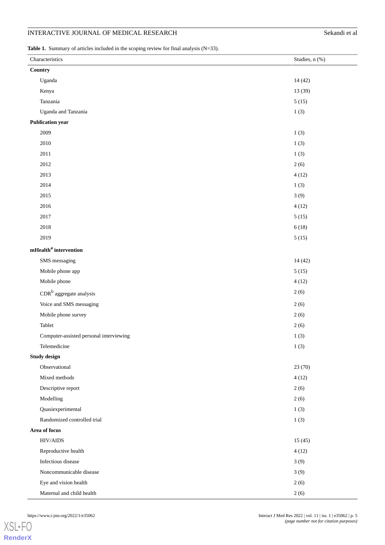## INTERACTIVE JOURNAL OF MEDICAL RESEARCH Sekandi et al

<span id="page-4-0"></span>Table 1. Summary of articles included in the scoping review for final analysis (N=33).

| Characteristics                                       | Studies, n (%) |
|-------------------------------------------------------|----------------|
| Country                                               |                |
| Uganda                                                | 14(42)         |
| Kenya                                                 | 13 (39)        |
| Tanzania                                              | 5(15)          |
| Uganda and Tanzania                                   | 1(3)           |
| <b>Publication year</b>                               |                |
| 2009                                                  | 1(3)           |
| 2010                                                  | 1(3)           |
| $2011\,$                                              | 1(3)           |
| 2012                                                  | 2(6)           |
| 2013                                                  | 4(12)          |
| 2014                                                  | 1(3)           |
| 2015                                                  | 3(9)           |
| 2016                                                  | 4(12)          |
| 2017                                                  | 5(15)          |
| $2018\,$                                              | 6(18)          |
| 2019                                                  | 5(15)          |
| $\mathbf{m}\mathbf{Health}^{\mathbf{a}}$ intervention |                |
| SMS messaging                                         | 14(42)         |
| Mobile phone app                                      | 5(15)          |
| Mobile phone                                          | 4(12)          |
| $\mathrm{CDR}^{\mathrm{b}}$ aggregate analysis        | 2(6)           |
| Voice and SMS messaging                               | 2(6)           |
| Mobile phone survey                                   | 2(6)           |
| Tablet                                                | 2(6)           |
| Computer-assisted personal interviewing               | 1(3)           |
| Telemedicine                                          | 1(3)           |
| <b>Study design</b>                                   |                |
| Observational                                         | 23(70)         |
| Mixed methods                                         | 4(12)          |
| Descriptive report                                    | 2(6)           |
| Modelling                                             | 2(6)           |
| Quasiexperimental                                     | 1(3)           |
| Randomized controlled trial                           | 1(3)           |
| Area of focus                                         |                |
| $\rm HIV/AlDS$                                        | 15(45)         |
| Reproductive health                                   | 4(12)          |
| Infectious disease                                    | 3(9)           |
| Noncommunicable disease                               | 3(9)           |
| Eye and vision health                                 | 2(6)           |
| Maternal and child health                             | 2(6)           |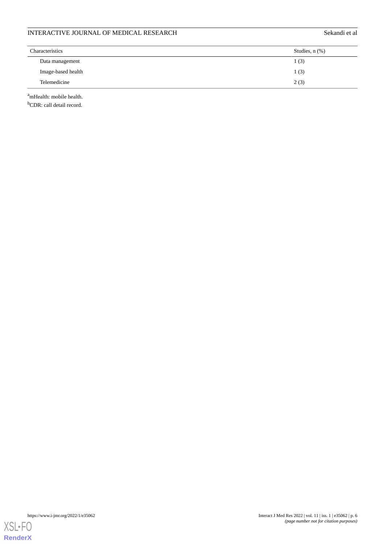| INTERACTIVE JOURNAL OF MEDICAL RESEARCH | Sekandi et al       |  |
|-----------------------------------------|---------------------|--|
| <b>Characteristics</b>                  | Studies, $n$ $(\%)$ |  |
| Data management                         | 1(3)                |  |
| Image-based health                      | 1(3)                |  |
| Telemedicine                            | 2(3)                |  |

<sup>a</sup>mHealth: mobile health.

<sup>b</sup>CDR: call detail record.

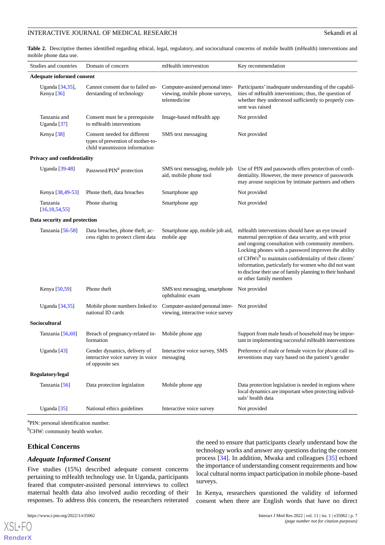<span id="page-6-0"></span>**Table 2.** Descriptive themes identified regarding ethical, legal, regulatory, and sociocultural concerns of mobile health (mHealth) interventions and mobile phone data use.

| Studies and countries              | Domain of concern                                                                                                  | mHealth intervention                                                                | Key recommendation                                                                                                                                                                                                                                                                                                                                                                                                                       |
|------------------------------------|--------------------------------------------------------------------------------------------------------------------|-------------------------------------------------------------------------------------|------------------------------------------------------------------------------------------------------------------------------------------------------------------------------------------------------------------------------------------------------------------------------------------------------------------------------------------------------------------------------------------------------------------------------------------|
| Adequate informed consent          |                                                                                                                    |                                                                                     |                                                                                                                                                                                                                                                                                                                                                                                                                                          |
| Uganda [34,35],<br>Kenya [36]      | Cannot consent due to failed un-<br>derstanding of technology                                                      | Computer-assisted personal inter-<br>viewing, mobile phone surveys,<br>telemedicine | Participants' inadequate understanding of the capabil-<br>ities of mHealth interventions; thus, the question of<br>whether they understood sufficiently to properly con-<br>sent was raised                                                                                                                                                                                                                                              |
| Tanzania and<br>Uganda [37]        | Consent must be a prerequisite<br>to mHealth interventions                                                         | Image-based mHealth app                                                             | Not provided                                                                                                                                                                                                                                                                                                                                                                                                                             |
| Kenya [38]                         | Consent needed for different<br>types of prevention of mother-to-<br>child transmission information                | SMS text messaging                                                                  | Not provided                                                                                                                                                                                                                                                                                                                                                                                                                             |
| <b>Privacy and confidentiality</b> |                                                                                                                    |                                                                                     |                                                                                                                                                                                                                                                                                                                                                                                                                                          |
| Uganda [39-48]                     | Password/PIN <sup>a</sup> protection                                                                               | SMS text messaging, mobile job<br>aid, mobile phone tool                            | Use of PIN and passwords offers protection of confi-<br>dentiality. However, the mere presence of passwords<br>may arouse suspicion by intimate partners and others                                                                                                                                                                                                                                                                      |
| Kenya [38,49-53]                   | Phone theft, data breaches                                                                                         | Smartphone app                                                                      | Not provided                                                                                                                                                                                                                                                                                                                                                                                                                             |
| Tanzania<br>[16, 18, 54, 55]       | Phone sharing                                                                                                      | Smartphone app                                                                      | Not provided                                                                                                                                                                                                                                                                                                                                                                                                                             |
| Data security and protection       |                                                                                                                    |                                                                                     |                                                                                                                                                                                                                                                                                                                                                                                                                                          |
| Tanzania [56-58]                   | Data breaches, phone theft, ac-<br>cess rights to protect client data                                              | Smartphone app, mobile job aid,<br>mobile app                                       | mHealth interventions should have an eye toward<br>maternal perception of data security, and with prior<br>and ongoing consultation with community members.<br>Locking phones with a password improves the ability<br>of CHWs <sup>b</sup> to maintain confidentiality of their clients'<br>information, particularly for women who did not want<br>to disclose their use of family planning to their husband<br>or other family members |
| Kenya [50,59]                      | Phone theft                                                                                                        | SMS text messaging, smartphone<br>ophthalmic exam                                   | Not provided                                                                                                                                                                                                                                                                                                                                                                                                                             |
| Uganda [34,35]                     | Mobile phone numbers linked to<br>national ID cards                                                                | Computer-assisted personal inter-<br>viewing, interactive voice survey              | Not provided                                                                                                                                                                                                                                                                                                                                                                                                                             |
| Sociocultural                      |                                                                                                                    |                                                                                     |                                                                                                                                                                                                                                                                                                                                                                                                                                          |
| Tanzania [56,60]                   | Breach of pregnancy-related in-<br>formation                                                                       | Mobile phone app                                                                    | Support from male heads of household may be impor-<br>tant in implementing successful mHealth interventions                                                                                                                                                                                                                                                                                                                              |
| Uganda [43]                        | Gender dynamics, delivery of Interactive voice survey, SMS<br>interactive voice survey in voice<br>of opposite sex | messaging                                                                           | Preference of male or female voices for phone call in-<br>terventions may vary based on the patient's gender                                                                                                                                                                                                                                                                                                                             |
| Regulatory/legal                   |                                                                                                                    |                                                                                     |                                                                                                                                                                                                                                                                                                                                                                                                                                          |
| Tanzania [56]                      | Data protection legislation                                                                                        | Mobile phone app                                                                    | Data protection legislation is needed in regions where<br>local dynamics are important when protecting individ-<br>uals' health data                                                                                                                                                                                                                                                                                                     |
| Uganda $[35]$                      | National ethics guidelines                                                                                         | Interactive voice survey                                                            | Not provided                                                                                                                                                                                                                                                                                                                                                                                                                             |

<sup>a</sup>PIN: personal identification number.

<sup>b</sup>CHW: community health worker.

#### **Ethical Concerns**

#### *Adequate Informed Consent*

Five studies (15%) described adequate consent concerns pertaining to mHealth technology use. In Uganda, participants feared that computer-assisted personal interviews to collect maternal health data also involved audio recording of their responses. To address this concern, the researchers reiterated the need to ensure that participants clearly understand how the technology works and answer any questions during the consent process [\[34](#page-11-15)]. In addition, Mwaka and colleagues [[35\]](#page-11-16) echoed the importance of understanding consent requirements and how local cultural norms impact participation in mobile phone–based surveys.

In Kenya, researchers questioned the validity of informed consent when there are English words that have no direct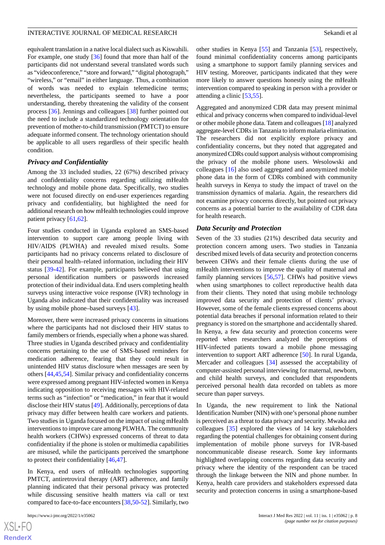equivalent translation in a native local dialect such as Kiswahili. For example, one study [\[36](#page-11-17)] found that more than half of the participants did not understand several translated words such as "videoconference," "store and forward," "digital photograph," "wireless," or "email" in either language. Thus, a combination of words was needed to explain telemedicine terms; nevertheless, the participants seemed to have a poor understanding, thereby threatening the validity of the consent process [\[36](#page-11-17)]. Jennings and colleagues [\[38](#page-11-19)] further pointed out the need to include a standardized technology orientation for prevention of mother-to-child transmission (PMTCT) to ensure adequate informed consent. The technology orientation should be applicable to all users regardless of their specific health condition.

#### *Privacy and Confidentiality*

Among the 33 included studies, 22 (67%) described privacy and confidentiality concerns regarding utilizing mHealth technology and mobile phone data. Specifically, two studies were not focused directly on end-user experiences regarding privacy and confidentiality, but highlighted the need for additional research on how mHealth technologies could improve patient privacy [\[61](#page-13-2),[62\]](#page-13-3).

Four studies conducted in Uganda explored an SMS-based intervention to support care among people living with HIV/AIDS (PLWHA) and revealed mixed results. Some participants had no privacy concerns related to disclosure of their personal health–related information, including their HIV status [\[39](#page-11-20)-[42\]](#page-12-9). For example, participants believed that using personal identification numbers or passwords increased protection of their individual data. End users completing health surveys using interactive voice response (IVR) technology in Uganda also indicated that their confidentiality was increased by using mobile phone–based surveys [\[43](#page-12-8)].

Moreover, there were increased privacy concerns in situations where the participants had not disclosed their HIV status to family members or friends, especially when a phone was shared. Three studies in Uganda described privacy and confidentiality concerns pertaining to the use of SMS-based reminders for medication adherence, fearing that they could result in unintended HIV status disclosure when messages are seen by others [[44,](#page-12-10)[45](#page-12-11),[54\]](#page-12-3). Similar privacy and confidentiality concerns were expressed among pregnant HIV-infected women in Kenya indicating opposition to receiving messages with HIV-related terms such as "infection" or "medication," in fear that it would disclose their HIV status [[49\]](#page-12-1). Additionally, perceptions of data privacy may differ between health care workers and patients. Two studies in Uganda focused on the impact of using mHealth interventions to improve care among PLWHA. The community health workers (CHWs) expressed concerns of threat to data confidentiality if the phone is stolen or multimedia capabilities are misused, while the participants perceived the smartphone to protect their confidentiality [[46](#page-12-12)[,47](#page-12-13)].

In Kenya, end users of mHealth technologies supporting PMTCT, antiretroviral therapy (ART) adherence, and family planning indicated that their personal privacy was protected while discussing sensitive health matters via call or text compared to face-to-face encounters [[38](#page-11-19)[,50](#page-12-7)-[52\]](#page-12-14). Similarly, two

[XSL](http://www.w3.org/Style/XSL)•FO **[RenderX](http://www.renderx.com/)** other studies in Kenya [\[55](#page-12-4)] and Tanzania [\[53](#page-12-2)], respectively, found minimal confidentiality concerns among participants using a smartphone to support family planning services and HIV testing. Moreover, participants indicated that they were more likely to answer questions honestly using the mHealth intervention compared to speaking in person with a provider or attending a clinic [\[53](#page-12-2),[55\]](#page-12-4).

Aggregated and anonymized CDR data may present minimal ethical and privacy concerns when compared to individual-level or other mobile phone data. Tatem and colleagues [\[18](#page-11-0)] analyzed aggregate-level CDRs in Tanzania to inform malaria elimination. The researchers did not explicitly explore privacy and confidentiality concerns, but they noted that aggregated and anonymized CDRs could support analysis without compromising the privacy of the mobile phone users. Wesolowski and colleagues [\[16](#page-10-13)] also used aggregated and anonymized mobile phone data in the form of CDRs combined with community health surveys in Kenya to study the impact of travel on the transmission dynamics of malaria. Again, the researchers did not examine privacy concerns directly, but pointed out privacy concerns as a potential barrier to the availability of CDR data for health research.

#### *Data Security and Protection*

Seven of the 33 studies (21%) described data security and protection concern among users. Two studies in Tanzania described mixed levels of data security and protection concerns between CHWs and their female clients during the use of mHealth interventions to improve the quality of maternal and family planning services [\[56](#page-12-5),[57\]](#page-12-15). CHWs had positive views when using smartphones to collect reproductive health data from their clients. They noted that using mobile technology improved data security and protection of clients' privacy. However, some of the female clients expressed concerns about potential data breaches if personal information related to their pregnancy is stored on the smartphone and accidentally shared. In Kenya, a few data security and protection concerns were reported when researchers analyzed the perceptions of HIV-infected patients toward a mobile phone messaging intervention to support ART adherence [\[50](#page-12-7)]. In rural Uganda, Mercader and colleagues [[34\]](#page-11-15) assessed the acceptability of computer-assisted personal interviewing for maternal, newborn, and child health surveys, and concluded that respondents perceived personal health data recorded on tablets as more secure than paper surveys.

In Uganda, the new requirement to link the National Identification Number (NIN) with one's personal phone number is perceived as a threat to data privacy and security. Mwaka and colleagues [[35\]](#page-11-16) explored the views of 14 key stakeholders regarding the potential challenges for obtaining consent during implementation of mobile phone surveys for IVR-based noncommunicable disease research. Some key informants highlighted overlapping concerns regarding data security and privacy where the identity of the respondent can be traced through the linkage between the NIN and phone number. In Kenya, health care providers and stakeholders expressed data security and protection concerns in using a smartphone-based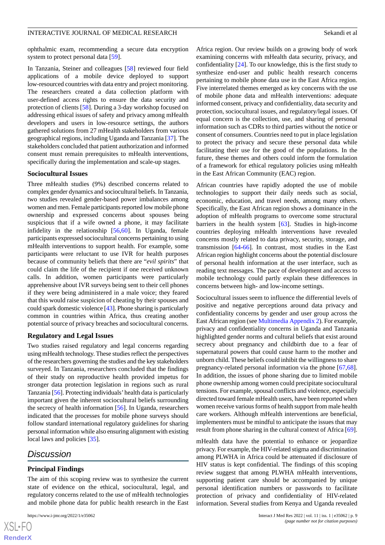ophthalmic exam, recommending a secure data encryption system to protect personal data [\[59](#page-13-0)].

In Tanzania, Steiner and colleagues [\[58](#page-12-6)] reviewed four field applications of a mobile device deployed to support low-resourced countries with data entry and project monitoring. The researchers created a data collection platform with user-defined access rights to ensure the data security and protection of clients [\[58](#page-12-6)]. During a 3-day workshop focused on addressing ethical issues of safety and privacy among mHealth developers and users in low-resource settings, the authors gathered solutions from 27 mHealth stakeholders from various geographical regions, including Uganda and Tanzania [[37](#page-11-18)]. The stakeholders concluded that patient authorization and informed consent must remain prerequisites to mHealth interventions, specifically during the implementation and scale-up stages.

#### **Sociocultural Issues**

Three mHealth studies (9%) described concerns related to complex gender dynamics and sociocultural beliefs. In Tanzania, two studies revealed gender-based power imbalances among women and men. Female participants reported low mobile phone ownership and expressed concerns about spouses being suspicious that if a wife owned a phone, it may facilitate infidelity in the relationship [\[56](#page-12-5),[60\]](#page-13-1). In Uganda, female participants expressed sociocultural concerns pertaining to using mHealth interventions to support health. For example, some participants were reluctant to use IVR for health purposes because of community beliefs that there are "*evil spirits*" that could claim the life of the recipient if one received unknown calls. In addition, women participants were particularly apprehensive about IVR surveys being sent to their cell phones if they were being administered in a male voice; they feared that this would raise suspicion of cheating by their spouses and could spark domestic violence [\[43](#page-12-8)]. Phone sharing is particularly common in countries within Africa, thus creating another potential source of privacy breaches and sociocultural concerns.

#### **Regulatory and Legal Issues**

Two studies raised regulatory and legal concerns regarding using mHealth technology. These studies reflect the perspectives of the researchers governing the studies and the key stakeholders surveyed. In Tanzania, researchers concluded that the findings of their study on reproductive health provided impetus for stronger data protection legislation in regions such as rural Tanzania [[56](#page-12-5)]. Protecting individuals'health data is particularly important given the inherent sociocultural beliefs surrounding the secrecy of health information [\[56](#page-12-5)]. In Uganda, researchers indicated that the processes for mobile phone surveys should follow standard international regulatory guidelines for sharing personal information while also ensuring alignment with existing local laws and policies [\[35](#page-11-16)].

## *Discussion*

[XSL](http://www.w3.org/Style/XSL)•FO **[RenderX](http://www.renderx.com/)**

#### **Principal Findings**

The aim of this scoping review was to synthesize the current state of evidence on the ethical, sociocultural, legal, and regulatory concerns related to the use of mHealth technologies and mobile phone data for public health research in the East

Africa region. Our review builds on a growing body of work examining concerns with mHealth data security, privacy, and confidentiality [\[24](#page-11-5)]. To our knowledge, this is the first study to synthesize end-user and public health research concerns pertaining to mobile phone data use in the East Africa region. Five interrelated themes emerged as key concerns with the use of mobile phone data and mHealth interventions: adequate informed consent, privacy and confidentiality, data security and protection, sociocultural issues, and regulatory/legal issues. Of equal concern is the collection, use, and sharing of personal information such as CDRs to third parties without the notice or consent of consumers. Countries need to put in place legislation to protect the privacy and secure these personal data while facilitating their use for the good of the populations. In the future, these themes and others could inform the formulation of a framework for ethical regulatory policies using mHealth in the East African Community (EAC) region.

African countries have rapidly adopted the use of mobile technologies to support their daily needs such as social, economic, education, and travel needs, among many others. Specifically, the East African region shows a dominance in the adoption of mHealth programs to overcome some structural barriers in the health system [\[63](#page-13-4)]. Studies in high-income countries deploying mHealth interventions have revealed concerns mostly related to data privacy, security, storage, and transmission [\[64](#page-13-5)-[66\]](#page-13-6). In contrast, most studies in the East African region highlight concerns about the potential disclosure of personal health information at the user interface, such as reading text messages. The pace of development and access to mobile technology could partly explain these differences in concerns between high- and low-income settings.

Sociocultural issues seem to influence the differential levels of positive and negative perceptions around data privacy and confidentiality concerns by gender and user group across the East African region (see [Multimedia Appendix 2\)](#page-10-17). For example, privacy and confidentiality concerns in Uganda and Tanzania highlighted gender norms and cultural beliefs that exist around secrecy about pregnancy and childbirth due to a fear of supernatural powers that could cause harm to the mother and unborn child. These beliefs could inhibit the willingness to share pregnancy-related personal information via the phone [\[67](#page-13-7),[68\]](#page-13-8). In addition, the issues of phone sharing due to limited mobile phone ownership among women could precipitate sociocultural tensions. For example, spousal conflicts and violence, especially directed toward female mHealth users, have been reported when women receive various forms of health support from male health care workers. Although mHealth interventions are beneficial, implementers must be mindful to anticipate the issues that may result from phone sharing in the cultural context of Africa [[69\]](#page-13-9).

mHealth data have the potential to enhance or jeopardize privacy. For example, the HIV-related stigma and discrimination among PLWHA in Africa could be attenuated if disclosure of HIV status is kept confidential. The findings of this scoping review suggest that among PLWHA mHealth interventions, supporting patient care should be accompanied by unique personal identification numbers or passwords to facilitate protection of privacy and confidentiality of HIV-related information. Several studies from Kenya and Uganda revealed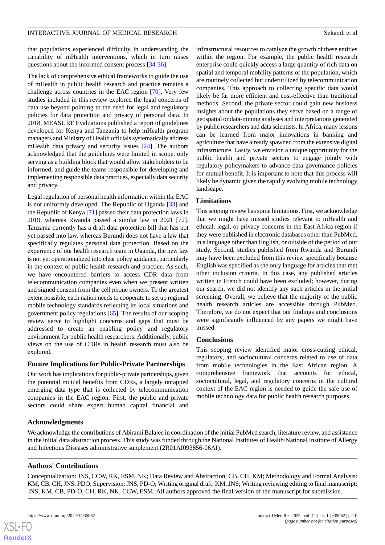that populations experienced difficulty in understanding the capability of mHealth interventions, which in turn raises questions about the informed consent process [\[34](#page-11-15)-[36\]](#page-11-17).

The lack of comprehensive ethical frameworks to guide the use of mHealth in public health research and practice remains a challenge across countries in the EAC region [\[70](#page-13-10)]. Very few studies included in this review explored the legal concerns of data use beyond pointing to the need for legal and regulatory policies for data protection and privacy of personal data. In 2018, MEASURE Evaluations published a report of guidelines developed for Kenya and Tanzania to help mHealth program managers and Ministry of Health officials systematically address mHealth data privacy and security issues [\[24](#page-11-5)]. The authors acknowledged that the guidelines were limited in scope, only serving as a building block that would allow stakeholders to be informed, and guide the teams responsible for developing and implementing responsible data practices, especially data security and privacy.

Legal regulation of personal health information within the EAC is not uniformly developed. The Republic of Uganda [\[33](#page-11-14)] and the Republic of Kenya [[71\]](#page-13-11) passed their data protection laws in 2019, whereas Rwanda passed a similar law in 2021 [[72\]](#page-13-12). Tanzania currently has a draft data protection bill that has not yet passed into law, whereas Burundi does not have a law that specifically regulates personal data protection. Based on the experience of our health research team in Uganda, the new law is not yet operationalized into clear policy guidance, particularly in the context of public health research and practice. As such, we have encountered barriers to access CDR data from telecommunication companies even when we present written and signed consent from the cell phone owners. To the greatest extent possible, each nation needs to cooperate to set up regional mobile technology standards reflecting its local situations and government policy regulations [[65\]](#page-13-13). The results of our scoping review serve to highlight concerns and gaps that must be addressed to create an enabling policy and regulatory environment for public health researchers. Additionally, public views on the use of CDRs in health research must also be explored.

## **Future Implications for Public-Private Partnerships**

Our work has implications for public-private partnerships, given the potential mutual benefits from CDRs, a largely untapped emerging data type that is collected by telecommunication companies in the EAC region. First, the public and private sectors could share expert human capital financial and infrastructural resources to catalyze the growth of these entities within the region. For example, the public health research enterprise could quickly access a large quantity of rich data on spatial and temporal mobility patterns of the population, which are routinely collected but underutilized by telecommunication companies. This approach to collecting specific data would likely be far more efficient and cost-effective than traditional methods. Second, the private sector could gain new business insights about the populations they serve based on a range of geospatial or data-mining analyses and interpretations generated by public researchers and data scientists. In Africa, many lessons can be learned from major innovations in banking and agriculture that have already spawned from the extensive digital infrastructure. Lastly, we envision a unique opportunity for the public health and private sectors to engage jointly with regulatory policymakers to advance data governance policies for mutual benefit. It is important to note that this process will likely be dynamic given the rapidly evolving mobile technology landscape.

## **Limitations**

This scoping review has some limitations. First, we acknowledge that we might have missed studies relevant to mHealth and ethical, legal, or privacy concerns in the East Africa region if they were published in electronic databases other than PubMed, in a language other than English, or outside of the period of our study. Second, studies published from Rwanda and Burundi may have been excluded from this review specifically because English was specified as the only language for articles that met other inclusion criteria. In this case, any published articles written in French could have been excluded; however, during our search, we did not identify any such articles in the initial screening. Overall, we believe that the majority of the public health research articles are accessible through PubMed. Therefore, we do not expect that our findings and conclusions were significantly influenced by any papers we might have missed.

## **Conclusions**

This scoping review identified major cross-cutting ethical, regulatory, and sociocultural concerns related to use of data from mobile technologies in the East African region. A comprehensive framework that accounts for ethical, sociocultural, legal, and regulatory concerns in the cultural context of the EAC region is needed to guide the safe use of mobile technology data for public health research purposes.

## **Acknowledgments**

We acknowledge the contributions of Abirami Balajee in coordination of the initial PubMed search, literature review, and assistance in the initial data abstraction process. This study was funded through the National Institutes of Health/National Institute of Allergy and Infectious Diseases administrative supplement (2R01AI093856-06AI).

## **Authors' Contributions**

Conceptualization: JNS, CCW, RK, ESM, NK; Data Review and Abstraction: CB, CH, KM; Methodology and Formal Analysis: KM, CB, CH, JNS, PDO; Supervision: JNS, PD-O; Writing original draft: KM, JNS; Writing reviewing editing to final manuscript: JNS, KM, CB, PD-O, CH, RK, NK, CCW, ESM. All authors approved the final version of the manuscript for submission.

**[RenderX](http://www.renderx.com/)**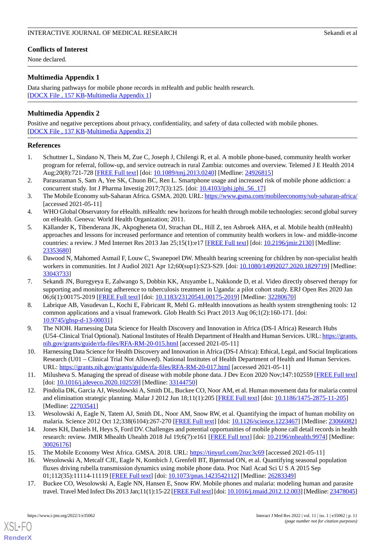## **Conflicts of Interest**

None declared.

## <span id="page-10-16"></span>**Multimedia Appendix 1**

Data sharing pathways for mobile phone records in mHealth and public health research. [[DOCX File , 157 KB-Multimedia Appendix 1\]](https://jmir.org/api/download?alt_name=ijmr_v11i1e35062_app1.docx&filename=a8d271ab6e8c96f0aaea702d93861f77.docx)

## <span id="page-10-17"></span>**Multimedia Appendix 2**

Positive and negative perceptions about privacy, confidentiality, and safety of data collected with mobile phones. [[DOCX File , 137 KB-Multimedia Appendix 2\]](https://jmir.org/api/download?alt_name=ijmr_v11i1e35062_app2.docx&filename=32c0a49dbf2c40bcd4b2c1d1e389f0a7.docx)

#### <span id="page-10-0"></span>**References**

- <span id="page-10-1"></span>1. Schuttner L, Sindano N, Theis M, Zue C, Joseph J, Chilengi R, et al. A mobile phone-based, community health worker program for referral, follow-up, and service outreach in rural Zambia: outcomes and overview. Telemed J E Health 2014 Aug;20(8):721-728 [\[FREE Full text](http://europepmc.org/abstract/MED/24926815)] [doi: [10.1089/tmj.2013.0240](http://dx.doi.org/10.1089/tmj.2013.0240)] [Medline: [24926815](http://www.ncbi.nlm.nih.gov/entrez/query.fcgi?cmd=Retrieve&db=PubMed&list_uids=24926815&dopt=Abstract)]
- <span id="page-10-2"></span>2. Parasuraman S, Sam A, Yee SK, Chuon BC, Ren L. Smartphone usage and increased risk of mobile phone addiction: a concurrent study. Int J Pharma Investig  $2017;7(3):125$ . [doi:  $10.4103/jphi.jphi.jpi 56-17$ ]
- <span id="page-10-4"></span><span id="page-10-3"></span>3. The Mobile Economy sub-Saharan Africa. GSMA. 2020. URL:<https://www.gsma.com/mobileeconomy/sub-saharan-africa/> [accessed 2021-05-11]
- 4. WHO Global Observatory for eHealth. mHealth: new horizons for health through mobile technologies: second global survey on eHealth. Geneva: World Health Organization; 2011.
- <span id="page-10-5"></span>5. Källander K, Tibenderana JK, Akpogheneta OJ, Strachan DL, Hill Z, ten Asbroek AHA, et al. Mobile health (mHealth) approaches and lessons for increased performance and retention of community health workers in low- and middle-income countries: a review. J Med Internet Res 2013 Jan 25;15(1):e17 [[FREE Full text](https://www.jmir.org/2013/1/e17/)] [doi: [10.2196/jmir.2130](http://dx.doi.org/10.2196/jmir.2130)] [Medline: [23353680](http://www.ncbi.nlm.nih.gov/entrez/query.fcgi?cmd=Retrieve&db=PubMed&list_uids=23353680&dopt=Abstract)]
- <span id="page-10-6"></span>6. Dawood N, Mahomed Asmail F, Louw C, Swanepoel DW. Mhealth hearing screening for children by non-specialist health workers in communities. Int J Audiol 2021 Apr 12;60(sup1):S23-S29. [doi: [10.1080/14992027.2020.1829719](http://dx.doi.org/10.1080/14992027.2020.1829719)] [Medline: [33043733](http://www.ncbi.nlm.nih.gov/entrez/query.fcgi?cmd=Retrieve&db=PubMed&list_uids=33043733&dopt=Abstract)]
- <span id="page-10-7"></span>7. Sekandi JN, Buregyeya E, Zalwango S, Dobbin KK, Atuyambe L, Nakkonde D, et al. Video directly observed therapy for supporting and monitoring adherence to tuberculosis treatment in Uganda: a pilot cohort study. ERJ Open Res 2020 Jan 06;6(1):00175-2019 [[FREE Full text](http://europepmc.org/abstract/MED/32280670)] [doi: [10.1183/23120541.00175-2019\]](http://dx.doi.org/10.1183/23120541.00175-2019) [Medline: [32280670](http://www.ncbi.nlm.nih.gov/entrez/query.fcgi?cmd=Retrieve&db=PubMed&list_uids=32280670&dopt=Abstract)]
- <span id="page-10-9"></span><span id="page-10-8"></span>8. Labrique AB, Vasudevan L, Kochi E, Fabricant R, Mehl G. mHealth innovations as health system strengthening tools: 12 common applications and a visual framework. Glob Health Sci Pract 2013 Aug 06;1(2):160-171. [doi: [10.9745/ghsp-d-13-00031\]](http://dx.doi.org/10.9745/ghsp-d-13-00031)
- <span id="page-10-10"></span>9. The NIOH. Harnessing Data Science for Health Discovery and Innovation in Africa (DS-I Africa) Research Hubs (U54–Clinical Trial Optional). National Institutes of Health Department of Health and Human Services. URL: [https://grants.](https://grants.nih.gov/grants/guide/rfa-files/RFA-RM-20-015.html) [nih.gov/grants/guide/rfa-files/RFA-RM-20-015.html](https://grants.nih.gov/grants/guide/rfa-files/RFA-RM-20-015.html) [accessed 2021-05-11]
- <span id="page-10-14"></span>10. Harnessing Data Science for Health Discovery and Innovation in Africa (DS-I Africa): Ethical, Legal, and Social Implications Research (U01 – Clinical Trial Not Allowed). National Institutes of Health Department of Health and Human Services. URL: <https://grants.nih.gov/grants/guide/rfa-files/RFA-RM-20-017.html> [accessed 2021-05-11]
- 11. Milusheva S. Managing the spread of disease with mobile phone data. J Dev Econ 2020 Nov;147:102559 [[FREE Full text](https://linkinghub.elsevier.com/retrieve/pii/S0304-3878(20)30134-6)] [doi: [10.1016/j.jdeveco.2020.102559](http://dx.doi.org/10.1016/j.jdeveco.2020.102559)] [Medline: [33144750\]](http://www.ncbi.nlm.nih.gov/entrez/query.fcgi?cmd=Retrieve&db=PubMed&list_uids=33144750&dopt=Abstract)
- <span id="page-10-11"></span>12. Pindolia DK, Garcia AJ, Wesolowski A, Smith DL, Buckee CO, Noor AM, et al. Human movement data for malaria control and elimination strategic planning. Malar J 2012 Jun 18;11(1):205 [[FREE Full text\]](https://malariajournal.biomedcentral.com/articles/10.1186/1475-2875-11-205) [doi: [10.1186/1475-2875-11-205](http://dx.doi.org/10.1186/1475-2875-11-205)] [Medline: [22703541](http://www.ncbi.nlm.nih.gov/entrez/query.fcgi?cmd=Retrieve&db=PubMed&list_uids=22703541&dopt=Abstract)]
- <span id="page-10-13"></span><span id="page-10-12"></span>13. Wesolowski A, Eagle N, Tatem AJ, Smith DL, Noor AM, Snow RW, et al. Quantifying the impact of human mobility on malaria. Science 2012 Oct 12;338(6104):267-270 [[FREE Full text](http://europepmc.org/abstract/MED/23066082)] [doi: [10.1126/science.1223467\]](http://dx.doi.org/10.1126/science.1223467) [Medline: [23066082](http://www.ncbi.nlm.nih.gov/entrez/query.fcgi?cmd=Retrieve&db=PubMed&list_uids=23066082&dopt=Abstract)]
- <span id="page-10-15"></span>14. Jones KH, Daniels H, Heys S, Ford DV. Challenges and potential opportunities of mobile phone call detail records in health research: review. JMIR Mhealth Uhealth 2018 Jul 19;6(7):e161 [[FREE Full text](https://mhealth.jmir.org/2018/7/e161/)] [doi: [10.2196/mhealth.9974](http://dx.doi.org/10.2196/mhealth.9974)] [Medline: [30026176](http://www.ncbi.nlm.nih.gov/entrez/query.fcgi?cmd=Retrieve&db=PubMed&list_uids=30026176&dopt=Abstract)]
- 15. The Mobile Economy West Africa. GMSA. 2018. URL: [https://tinyurl.com/2nzc3c69](https://data.gsmaintelligence.com/api-web/v2/research-file-download?id=30933401&file=The%20Mobile%20Economy%20West%20Africa%202018.pdf) [accessed 2021-05-11]
- 16. Wesolowski A, Metcalf CJE, Eagle N, Kombich J, Grenfell BT, Bjørnstad ON, et al. Quantifying seasonal population fluxes driving rubella transmission dynamics using mobile phone data. Proc Natl Acad Sci U S A 2015 Sep 01;112(35):11114-11119 [[FREE Full text](https://www.pnas.org/doi/abs/10.1073/pnas.1423542112?url_ver=Z39.88-2003&rfr_id=ori:rid:crossref.org&rfr_dat=cr_pub%3dpubmed)] [doi: [10.1073/pnas.1423542112\]](http://dx.doi.org/10.1073/pnas.1423542112) [Medline: [26283349](http://www.ncbi.nlm.nih.gov/entrez/query.fcgi?cmd=Retrieve&db=PubMed&list_uids=26283349&dopt=Abstract)]
- 17. Buckee CO, Wesolowski A, Eagle NN, Hansen E, Snow RW. Mobile phones and malaria: modeling human and parasite travel. Travel Med Infect Dis 2013 Jan;11(1):15-22 [\[FREE Full text](http://europepmc.org/abstract/MED/23478045)] [doi: [10.1016/j.tmaid.2012.12.003\]](http://dx.doi.org/10.1016/j.tmaid.2012.12.003) [Medline: [23478045\]](http://www.ncbi.nlm.nih.gov/entrez/query.fcgi?cmd=Retrieve&db=PubMed&list_uids=23478045&dopt=Abstract)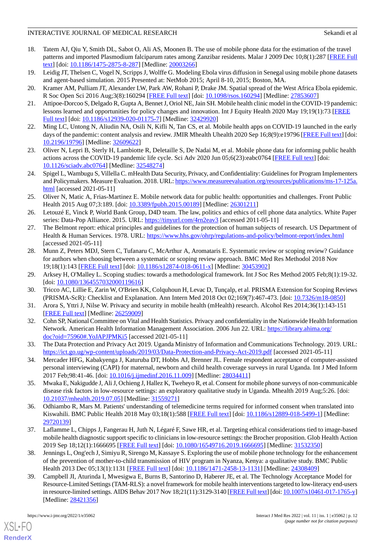- <span id="page-11-0"></span>18. Tatem AJ, Qiu Y, Smith DL, Sabot O, Ali AS, Moonen B. The use of mobile phone data for the estimation of the travel patterns and imported Plasmodium falciparum rates among Zanzibar residents. Malar J 2009 Dec 10;8(1):287 [[FREE Full](https://malariajournal.biomedcentral.com/articles/10.1186/1475-2875-8-287) [text](https://malariajournal.biomedcentral.com/articles/10.1186/1475-2875-8-287)] [doi: [10.1186/1475-2875-8-287\]](http://dx.doi.org/10.1186/1475-2875-8-287) [Medline: [20003266\]](http://www.ncbi.nlm.nih.gov/entrez/query.fcgi?cmd=Retrieve&db=PubMed&list_uids=20003266&dopt=Abstract)
- <span id="page-11-2"></span><span id="page-11-1"></span>19. Leidig JT, Thelsen C, Vogel N, Scripps J, Wolffe G. Modeling Ebola virus diffusion in Senegal using mobile phone datasets and agent-based simulation. 2015 Presented at: NetMob 2015; April 8-10, 2015; Boston, MA.
- <span id="page-11-3"></span>20. Kramer AM, Pulliam JT, Alexander LW, Park AW, Rohani P, Drake JM. Spatial spread of the West Africa Ebola epidemic. R Soc Open Sci 2016 Aug;3(8):160294 [\[FREE Full text\]](https://royalsocietypublishing.org/doi/10.1098/rsos.160294?url_ver=Z39.88-2003&rfr_id=ori:rid:crossref.org&rfr_dat=cr_pub%3dpubmed) [doi: [10.1098/rsos.160294\]](http://dx.doi.org/10.1098/rsos.160294) [Medline: [27853607\]](http://www.ncbi.nlm.nih.gov/entrez/query.fcgi?cmd=Retrieve&db=PubMed&list_uids=27853607&dopt=Abstract)
- 21. Attipoe-Dorcoo S, Delgado R, Gupta A, Bennet J, Oriol NE, Jain SH. Mobile health clinic model in the COVID-19 pandemic: lessons learned and opportunities for policy changes and innovation. Int J Equity Health 2020 May 19;19(1):73 [\[FREE](https://equityhealthj.biomedcentral.com/articles/10.1186/s12939-020-01175-7) [Full text\]](https://equityhealthj.biomedcentral.com/articles/10.1186/s12939-020-01175-7) [doi: [10.1186/s12939-020-01175-7](http://dx.doi.org/10.1186/s12939-020-01175-7)] [Medline: [32429920](http://www.ncbi.nlm.nih.gov/entrez/query.fcgi?cmd=Retrieve&db=PubMed&list_uids=32429920&dopt=Abstract)]
- <span id="page-11-4"></span>22. Ming LC, Untong N, Aliudin NA, Osili N, Kifli N, Tan CS, et al. Mobile health apps on COVID-19 launched in the early days of the pandemic: content analysis and review. JMIR Mhealth Uhealth 2020 Sep 16;8(9):e19796 [[FREE Full text](https://mhealth.jmir.org/2020/9/e19796/)] [doi: [10.2196/19796\]](http://dx.doi.org/10.2196/19796) [Medline: [32609622\]](http://www.ncbi.nlm.nih.gov/entrez/query.fcgi?cmd=Retrieve&db=PubMed&list_uids=32609622&dopt=Abstract)
- <span id="page-11-5"></span>23. Oliver N, Lepri B, Sterly H, Lambiotte R, Deletaille S, De Nadai M, et al. Mobile phone data for informing public health actions across the COVID-19 pandemic life cycle. Sci Adv 2020 Jun 05;6(23):eabc0764 [[FREE Full text](https:///www.science.org/doi/10.1126/sciadv.abc0764?url_ver=Z39.88-2003&rfr_id=ori:rid:crossref.org&rfr_dat=cr_pub%3dpubmed)] [doi: [10.1126/sciadv.abc0764](http://dx.doi.org/10.1126/sciadv.abc0764)] [Medline: [32548274\]](http://www.ncbi.nlm.nih.gov/entrez/query.fcgi?cmd=Retrieve&db=PubMed&list_uids=32548274&dopt=Abstract)
- <span id="page-11-6"></span>24. Spigel L, Wambugu S, Villella C. mHealth Data Security, Privacy, and Confidentiality: Guidelines for Program Implementers and Policymakers. Measure Evaluation. 2018. URL: [https://www.measureevaluation.org/resources/publications/ms-17-125a.](https://www.measureevaluation.org/resources/publications/ms-17-125a.html) [html](https://www.measureevaluation.org/resources/publications/ms-17-125a.html) [accessed 2021-05-11]
- <span id="page-11-7"></span>25. Oliver N, Matic A, Frias-Martinez E. Mobile network data for public health: opportunities and challenges. Front Public Health 2015 Aug 07;3:189. [doi: [10.3389/fpubh.2015.00189](http://dx.doi.org/10.3389/fpubh.2015.00189)] [Medline: [26301211](http://www.ncbi.nlm.nih.gov/entrez/query.fcgi?cmd=Retrieve&db=PubMed&list_uids=26301211&dopt=Abstract)]
- <span id="page-11-8"></span>26. Letouzé E, Vinck P, World Bank Group, D4D team. The law, politics and ethics of cell phone data analytics. White Paper series: Data-Pop Alliance. 2015. URL: [https://tinyurl.com/4rn2eav3](https://datapopalliance.org/item/white-paper-the-law-politics-and-ethics-of-cell-phone-data-analytics/) [accessed 2011-05-11]
- <span id="page-11-9"></span>27. The Belmont report: ethical principles and guidelines for the protection of human subjects of research. US Department of Health & Human Services. 1978. URL:<https://www.hhs.gov/ohrp/regulations-and-policy/belmont-report/index.html> [accessed 2021-05-11]
- <span id="page-11-11"></span><span id="page-11-10"></span>28. Munn Z, Peters MDJ, Stern C, Tufanaru C, McArthur A, Aromataris E. Systematic review or scoping review? Guidance for authors when choosing between a systematic or scoping review approach. BMC Med Res Methodol 2018 Nov 19;18(1):143 [[FREE Full text\]](https://bmcmedresmethodol.biomedcentral.com/articles/10.1186/s12874-018-0611-x) [doi: [10.1186/s12874-018-0611-x](http://dx.doi.org/10.1186/s12874-018-0611-x)] [Medline: [30453902](http://www.ncbi.nlm.nih.gov/entrez/query.fcgi?cmd=Retrieve&db=PubMed&list_uids=30453902&dopt=Abstract)]
- <span id="page-11-12"></span>29. Arksey H, O'Malley L. Scoping studies: towards a methodological framework. Int J Soc Res Method 2005 Feb;8(1):19-32. [doi: [10.1080/1364557032000119616](http://dx.doi.org/10.1080/1364557032000119616)]
- <span id="page-11-13"></span>30. Tricco AC, Lillie E, Zarin W, O'Brien KK, Colquhoun H, Levac D, Tunçalp, et al. PRISMA Extension for Scoping Reviews (PRISMA-ScR): Checklist and Explanation. Ann Intern Med 2018 Oct 02;169(7):467-473. [doi: [10.7326/m18-0850\]](http://dx.doi.org/10.7326/m18-0850)
- <span id="page-11-14"></span>31. Arora S, Yttri J, Nilse W. Privacy and security in mobile health (mHealth) research. Alcohol Res 2014;36(1):143-151 [[FREE Full text](http://europepmc.org/abstract/MED/26259009)] [Medline: [26259009](http://www.ncbi.nlm.nih.gov/entrez/query.fcgi?cmd=Retrieve&db=PubMed&list_uids=26259009&dopt=Abstract)]
- <span id="page-11-15"></span>32. Cohn SP, National Committee on Vital and Health Statistics. Privacy and confidentiality in the Nationwide Health Information Network. American Health Information Management Association. 2006 Jun 22. URL: [https://library.ahima.org/](https://library.ahima.org/doc?oid=75960#.YoJAPJPMKi5) [doc?oid=75960#.YoJAPJPMKi5](https://library.ahima.org/doc?oid=75960#.YoJAPJPMKi5) [accessed 2021-05-11]
- <span id="page-11-16"></span>33. The Data Protection and Privacy Act 2019. Uganda Ministry of Information and Communications Technology. 2019. URL: <https://ict.go.ug/wp-content/uploads/2019/03/Data-Protection-and-Privacy-Act-2019.pdf> [accessed 2021-05-11]
- <span id="page-11-17"></span>34. Mercader HFG, Kabakyenga J, Katuruba DT, Hobbs AJ, Brenner JL. Female respondent acceptance of computer-assisted personal interviewing (CAPI) for maternal, newborn and child health coverage surveys in rural Uganda. Int J Med Inform 2017 Feb;98:41-46. [doi: [10.1016/j.ijmedinf.2016.11.009](http://dx.doi.org/10.1016/j.ijmedinf.2016.11.009)] [Medline: [28034411](http://www.ncbi.nlm.nih.gov/entrez/query.fcgi?cmd=Retrieve&db=PubMed&list_uids=28034411&dopt=Abstract)]
- <span id="page-11-18"></span>35. Mwaka E, Nakigudde J, Ali J, Ochieng J, Hallez K, Tweheyo R, et al. Consent for mobile phone surveys of non-communicable disease risk factors in low-resource settings: an exploratory qualitative study in Uganda. Mhealth 2019 Aug;5:26. [doi: [10.21037/mhealth.2019.07.05](http://dx.doi.org/10.21037/mhealth.2019.07.05)] [Medline: [31559271](http://www.ncbi.nlm.nih.gov/entrez/query.fcgi?cmd=Retrieve&db=PubMed&list_uids=31559271&dopt=Abstract)]
- <span id="page-11-19"></span>36. Odhiambo R, Mars M. Patients' understanding of telemedicine terms required for informed consent when translated into Kiswahili. BMC Public Health 2018 May 03;18(1):588 [[FREE Full text](https://bmcpublichealth.biomedcentral.com/articles/10.1186/s12889-018-5499-1)] [doi: [10.1186/s12889-018-5499-1](http://dx.doi.org/10.1186/s12889-018-5499-1)] [Medline: [29720139](http://www.ncbi.nlm.nih.gov/entrez/query.fcgi?cmd=Retrieve&db=PubMed&list_uids=29720139&dopt=Abstract)]
- <span id="page-11-20"></span>37. Laflamme L, Chipps J, Fangerau H, Juth N, Légaré F, Sawe HR, et al. Targeting ethical considerations tied to image-based mobile health diagnostic support specific to clinicians in low-resource settings: the Brocher proposition. Glob Health Action 2019 Sep 18;12(1):1666695 [[FREE Full text\]](http://europepmc.org/abstract/MED/31532350) [doi: [10.1080/16549716.2019.1666695\]](http://dx.doi.org/10.1080/16549716.2019.1666695) [Medline: [31532350](http://www.ncbi.nlm.nih.gov/entrez/query.fcgi?cmd=Retrieve&db=PubMed&list_uids=31532350&dopt=Abstract)]
- 38. Jennings L, Ong'ech J, Simiyu R, Sirengo M, Kassaye S. Exploring the use of mobile phone technology for the enhancement of the prevention of mother-to-child transmission of HIV program in Nyanza, Kenya: a qualitative study. BMC Public Health 2013 Dec 05;13(1):1131 [[FREE Full text](https://bmcpublichealth.biomedcentral.com/articles/10.1186/1471-2458-13-1131)] [doi: [10.1186/1471-2458-13-1131\]](http://dx.doi.org/10.1186/1471-2458-13-1131) [Medline: [24308409](http://www.ncbi.nlm.nih.gov/entrez/query.fcgi?cmd=Retrieve&db=PubMed&list_uids=24308409&dopt=Abstract)]
- 39. Campbell JI, Aturinda I, Mwesigwa E, Burns B, Santorino D, Haberer JE, et al. The Technology Acceptance Model for Resource-Limited Settings (TAM-RLS): a novel framework for mobile health interventions targeted to low-literacy end-users in resource-limited settings. AIDS Behav 2017 Nov 18;21(11):3129-3140 [\[FREE Full text\]](http://europepmc.org/abstract/MED/28421356) [doi: [10.1007/s10461-017-1765-y\]](http://dx.doi.org/10.1007/s10461-017-1765-y) [Medline: [28421356](http://www.ncbi.nlm.nih.gov/entrez/query.fcgi?cmd=Retrieve&db=PubMed&list_uids=28421356&dopt=Abstract)]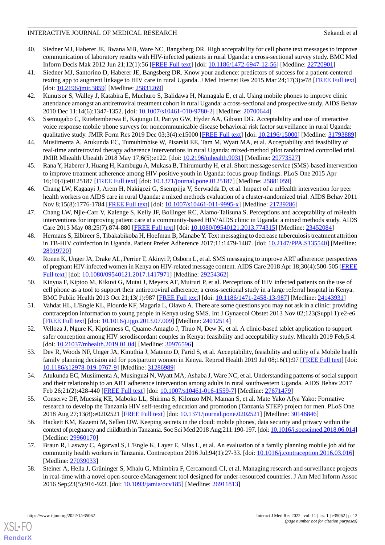- 40. Siedner MJ, Haberer JE, Bwana MB, Ware NC, Bangsberg DR. High acceptability for cell phone text messages to improve communication of laboratory results with HIV-infected patients in rural Uganda: a cross-sectional survey study. BMC Med Inform Decis Mak 2012 Jun 21;12(1):56 [[FREE Full text](https://bmcmedinformdecismak.biomedcentral.com/articles/10.1186/1472-6947-12-56)] [doi: [10.1186/1472-6947-12-56\]](http://dx.doi.org/10.1186/1472-6947-12-56) [Medline: [22720901\]](http://www.ncbi.nlm.nih.gov/entrez/query.fcgi?cmd=Retrieve&db=PubMed&list_uids=22720901&dopt=Abstract)
- 41. Siedner MJ, Santorino D, Haberer JE, Bangsberg DR. Know your audience: predictors of success for a patient-centered texting app to augment linkage to HIV care in rural Uganda. J Med Internet Res 2015 Mar 24;17(3):e78 [[FREE Full text](https://www.jmir.org/2015/3/e78/)] [doi: [10.2196/jmir.3859\]](http://dx.doi.org/10.2196/jmir.3859) [Medline: [25831269\]](http://www.ncbi.nlm.nih.gov/entrez/query.fcgi?cmd=Retrieve&db=PubMed&list_uids=25831269&dopt=Abstract)
- <span id="page-12-9"></span>42. Kunutsor S, Walley J, Katabira E, Muchuro S, Balidawa H, Namagala E, et al. Using mobile phones to improve clinic attendance amongst an antiretroviral treatment cohort in rural Uganda: a cross-sectional and prospective study. AIDS Behav 2010 Dec 11;14(6):1347-1352. [doi: [10.1007/s10461-010-9780-2\]](http://dx.doi.org/10.1007/s10461-010-9780-2) [Medline: [20700644](http://www.ncbi.nlm.nih.gov/entrez/query.fcgi?cmd=Retrieve&db=PubMed&list_uids=20700644&dopt=Abstract)]
- <span id="page-12-10"></span><span id="page-12-8"></span>43. Ssemugabo C, Rutebemberwa E, Kajungu D, Pariyo GW, Hyder AA, Gibson DG. Acceptability and use of interactive voice response mobile phone surveys for noncommunicable disease behavioral risk factor surveillance in rural Uganda: qualitative study. JMIR Form Res 2019 Dec 03;3(4):e15000 [\[FREE Full text\]](https://formative.jmir.org/2019/4/e15000/) [doi: [10.2196/15000](http://dx.doi.org/10.2196/15000)] [Medline: [31793889\]](http://www.ncbi.nlm.nih.gov/entrez/query.fcgi?cmd=Retrieve&db=PubMed&list_uids=31793889&dopt=Abstract)
- <span id="page-12-11"></span>44. Musiimenta A, Atukunda EC, Tumuhimbise W, Pisarski EE, Tam M, Wyatt MA, et al. Acceptability and feasibility of real-time antiretroviral therapy adherence interventions in rural Uganda: mixed-method pilot randomized controlled trial. JMIR Mhealth Uhealth 2018 May 17;6(5):e122. [doi: [10.2196/mhealth.9031](http://dx.doi.org/10.2196/mhealth.9031)] [Medline: [29773527\]](http://www.ncbi.nlm.nih.gov/entrez/query.fcgi?cmd=Retrieve&db=PubMed&list_uids=29773527&dopt=Abstract)
- <span id="page-12-12"></span>45. Rana Y, Haberer J, Huang H, Kambugu A, Mukasa B, Thirumurthy H, et al. Short message service (SMS)-based intervention to improve treatment adherence among HIV-positive youth in Uganda: focus group findings. PLoS One 2015 Apr 16;10(4):e0125187 [\[FREE Full text](https://dx.plos.org/10.1371/journal.pone.0125187)] [doi: [10.1371/journal.pone.0125187\]](http://dx.doi.org/10.1371/journal.pone.0125187) [Medline: [25881059\]](http://www.ncbi.nlm.nih.gov/entrez/query.fcgi?cmd=Retrieve&db=PubMed&list_uids=25881059&dopt=Abstract)
- <span id="page-12-13"></span>46. Chang LW, Kagaayi J, Arem H, Nakigozi G, Ssempijja V, Serwadda D, et al. Impact of a mHealth intervention for peer health workers on AIDS care in rural Uganda: a mixed methods evaluation of a cluster-randomized trial. AIDS Behav 2011 Nov 8;15(8):1776-1784 [[FREE Full text\]](http://europepmc.org/abstract/MED/21739286) [doi: [10.1007/s10461-011-9995-x](http://dx.doi.org/10.1007/s10461-011-9995-x)] [Medline: [21739286](http://www.ncbi.nlm.nih.gov/entrez/query.fcgi?cmd=Retrieve&db=PubMed&list_uids=21739286&dopt=Abstract)]
- <span id="page-12-0"></span>47. Chang LW, Njie-Carr V, Kalenge S, Kelly JF, Bollinger RC, Alamo-Talisuna S. Perceptions and acceptability of mHealth interventions for improving patient care at a community-based HIV/AIDS clinic in Uganda: a mixed methods study. AIDS Care 2013 May 08;25(7):874-880 [[FREE Full text](http://europepmc.org/abstract/MED/23452084)] [doi: [10.1080/09540121.2013.774315\]](http://dx.doi.org/10.1080/09540121.2013.774315) [Medline: [23452084](http://www.ncbi.nlm.nih.gov/entrez/query.fcgi?cmd=Retrieve&db=PubMed&list_uids=23452084&dopt=Abstract)]
- <span id="page-12-1"></span>48. Hermans S, Elbireer S, Tibakabikoba H, Hoefman B, Manabe Y. Text messaging to decrease tuberculosis treatment attrition in TB-HIV coinfection in Uganda. Patient Prefer Adherence 2017;11:1479-1487. [doi: [10.2147/PPA.S135540\]](http://dx.doi.org/10.2147/PPA.S135540) [Medline: [28919720](http://www.ncbi.nlm.nih.gov/entrez/query.fcgi?cmd=Retrieve&db=PubMed&list_uids=28919720&dopt=Abstract)]
- <span id="page-12-7"></span>49. Ronen K, Unger JA, Drake AL, Perrier T, Akinyi P, Osborn L, et al. SMS messaging to improve ART adherence: perspectives of pregnant HIV-infected women in Kenya on HIV-related message content. AIDS Care 2018 Apr 18;30(4):500-505 [\[FREE](http://europepmc.org/abstract/MED/29254362) [Full text\]](http://europepmc.org/abstract/MED/29254362) [doi: [10.1080/09540121.2017.1417971](http://dx.doi.org/10.1080/09540121.2017.1417971)] [Medline: [29254362](http://www.ncbi.nlm.nih.gov/entrez/query.fcgi?cmd=Retrieve&db=PubMed&list_uids=29254362&dopt=Abstract)]
- 50. Kinyua F, Kiptoo M, Kikuvi G, Mutai J, Meyers AF, Muiruri P, et al. Perceptions of HIV infected patients on the use of cell phone as a tool to support their antiretroviral adherence; a cross-sectional study in a large referral hospital in Kenya. BMC Public Health 2013 Oct 21;13(1):987 [[FREE Full text](https://bmcpublichealth.biomedcentral.com/articles/10.1186/1471-2458-13-987)] [doi: [10.1186/1471-2458-13-987\]](http://dx.doi.org/10.1186/1471-2458-13-987) [Medline: [24143931\]](http://www.ncbi.nlm.nih.gov/entrez/query.fcgi?cmd=Retrieve&db=PubMed&list_uids=24143931&dopt=Abstract)
- <span id="page-12-14"></span><span id="page-12-2"></span>51. Vahdat HL, L'Engle KL, Plourde KF, Magaria L, Olawo A. There are some questions you may not ask in a clinic: providing contraception information to young people in Kenya using SMS. Int J Gynaecol Obstet 2013 Nov 02;123(Suppl 1):e2-e6 [[FREE Full text](https://linkinghub.elsevier.com/retrieve/pii/S0020-7292(13)00382-2)] [doi: [10.1016/j.ijgo.2013.07.009](http://dx.doi.org/10.1016/j.ijgo.2013.07.009)] [Medline: [24012514\]](http://www.ncbi.nlm.nih.gov/entrez/query.fcgi?cmd=Retrieve&db=PubMed&list_uids=24012514&dopt=Abstract)
- <span id="page-12-3"></span>52. Velloza J, Ngure K, Kiptinness C, Quame-Amaglo J, Thuo N, Dew K, et al. A clinic-based tablet application to support safer conception among HIV serodiscordant couples in Kenya: feasibility and acceptability study. Mhealth 2019 Feb;5:4. [doi: [10.21037/mhealth.2019.01.04\]](http://dx.doi.org/10.21037/mhealth.2019.01.04) [Medline: [30976596\]](http://www.ncbi.nlm.nih.gov/entrez/query.fcgi?cmd=Retrieve&db=PubMed&list_uids=30976596&dopt=Abstract)
- <span id="page-12-4"></span>53. Dev R, Woods NF, Unger JA, Kinuthia J, Matemo D, Farid S, et al. Acceptability, feasibility and utility of a Mobile health family planning decision aid for postpartum women in Kenya. Reprod Health 2019 Jul 08;16(1):97 [[FREE Full text](https://reproductive-health-journal.biomedcentral.com/articles/10.1186/s12978-019-0767-9)] [doi: [10.1186/s12978-019-0767-9\]](http://dx.doi.org/10.1186/s12978-019-0767-9) [Medline: [31286989](http://www.ncbi.nlm.nih.gov/entrez/query.fcgi?cmd=Retrieve&db=PubMed&list_uids=31286989&dopt=Abstract)]
- <span id="page-12-5"></span>54. Atukunda EC, Musiimenta A, Musinguzi N, Wyatt MA, Ashaba J, Ware NC, et al. Understanding patterns of social support and their relationship to an ART adherence intervention among adults in rural southwestern Uganda. AIDS Behav 2017 Feb 26;21(2):428-440 [\[FREE Full text\]](http://europepmc.org/abstract/MED/27671479) [doi: [10.1007/s10461-016-1559-7](http://dx.doi.org/10.1007/s10461-016-1559-7)] [Medline: [27671479\]](http://www.ncbi.nlm.nih.gov/entrez/query.fcgi?cmd=Retrieve&db=PubMed&list_uids=27671479&dopt=Abstract)
- <span id="page-12-15"></span>55. Conserve DF, Muessig KE, Maboko LL, Shirima S, Kilonzo MN, Maman S, et al. Mate Yako Afya Yako: Formative research to develop the Tanzania HIV self-testing education and promotion (Tanzania STEP) project for men. PLoS One 2018 Aug 27;13(8):e0202521 [\[FREE Full text\]](https://dx.plos.org/10.1371/journal.pone.0202521) [doi: [10.1371/journal.pone.0202521\]](http://dx.doi.org/10.1371/journal.pone.0202521) [Medline: [30148846\]](http://www.ncbi.nlm.nih.gov/entrez/query.fcgi?cmd=Retrieve&db=PubMed&list_uids=30148846&dopt=Abstract)
- <span id="page-12-6"></span>56. Hackett KM, Kazemi M, Sellen DW. Keeping secrets in the cloud: mobile phones, data security and privacy within the context of pregnancy and childbirth in Tanzania. Soc Sci Med 2018 Aug;211:190-197. [doi: [10.1016/j.socscimed.2018.06.014](http://dx.doi.org/10.1016/j.socscimed.2018.06.014)] [Medline: [29960170](http://www.ncbi.nlm.nih.gov/entrez/query.fcgi?cmd=Retrieve&db=PubMed&list_uids=29960170&dopt=Abstract)]
- 57. Braun R, Lasway C, Agarwal S, L'Engle K, Layer E, Silas L, et al. An evaluation of a family planning mobile job aid for community health workers in Tanzania. Contraception 2016 Jul;94(1):27-33. [doi: [10.1016/j.contraception.2016.03.016\]](http://dx.doi.org/10.1016/j.contraception.2016.03.016) [Medline: [27039033](http://www.ncbi.nlm.nih.gov/entrez/query.fcgi?cmd=Retrieve&db=PubMed&list_uids=27039033&dopt=Abstract)]
- 58. Steiner A, Hella J, Grüninger S, Mhalu G, Mhimbira F, Cercamondi CI, et al. Managing research and surveillance projects in real-time with a novel open-source eManagement tool designed for under-resourced countries. J Am Med Inform Assoc 2016 Sep;23(5):916-923. [doi: [10.1093/jamia/ocv185\]](http://dx.doi.org/10.1093/jamia/ocv185) [Medline: [26911813](http://www.ncbi.nlm.nih.gov/entrez/query.fcgi?cmd=Retrieve&db=PubMed&list_uids=26911813&dopt=Abstract)]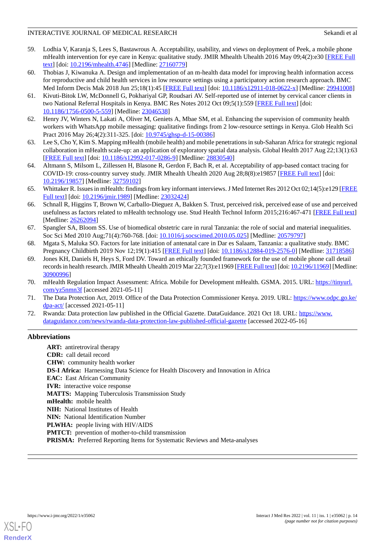- <span id="page-13-0"></span>59. Lodhia V, Karanja S, Lees S, Bastawrous A. Acceptability, usability, and views on deployment of Peek, a mobile phone mHealth intervention for eye care in Kenya: qualitative study. JMIR Mhealth Uhealth 2016 May 09;4(2):e30 [\[FREE Full](https://mhealth.jmir.org/2016/2/e30/) [text](https://mhealth.jmir.org/2016/2/e30/)] [doi: [10.2196/mhealth.4746\]](http://dx.doi.org/10.2196/mhealth.4746) [Medline: [27160779](http://www.ncbi.nlm.nih.gov/entrez/query.fcgi?cmd=Retrieve&db=PubMed&list_uids=27160779&dopt=Abstract)]
- <span id="page-13-1"></span>60. Thobias J, Kiwanuka A. Design and implementation of an m-health data model for improving health information access for reproductive and child health services in low resource settings using a participatory action research approach. BMC Med Inform Decis Mak 2018 Jun 25;18(1):45 [[FREE Full text](https://bmcmedinformdecismak.biomedcentral.com/articles/10.1186/s12911-018-0622-x)] [doi: [10.1186/s12911-018-0622-x\]](http://dx.doi.org/10.1186/s12911-018-0622-x) [Medline: [29941008](http://www.ncbi.nlm.nih.gov/entrez/query.fcgi?cmd=Retrieve&db=PubMed&list_uids=29941008&dopt=Abstract)]
- <span id="page-13-2"></span>61. Kivuti-Bitok LW, McDonnell G, Pokhariyal GP, Roudsari AV. Self-reported use of internet by cervical cancer clients in two National Referral Hospitals in Kenya. BMC Res Notes 2012 Oct 09;5(1):559 [[FREE Full text](https://bmcresnotes.biomedcentral.com/articles/10.1186/1756-0500-5-559)] [doi: [10.1186/1756-0500-5-559\]](http://dx.doi.org/10.1186/1756-0500-5-559) [Medline: [23046538\]](http://www.ncbi.nlm.nih.gov/entrez/query.fcgi?cmd=Retrieve&db=PubMed&list_uids=23046538&dopt=Abstract)
- <span id="page-13-4"></span><span id="page-13-3"></span>62. Henry JV, Winters N, Lakati A, Oliver M, Geniets A, Mbae SM, et al. Enhancing the supervision of community health workers with WhatsApp mobile messaging: qualitative findings from 2 low-resource settings in Kenya. Glob Health Sci Pract 2016 May 26;4(2):311-325. [doi: [10.9745/ghsp-d-15-00386](http://dx.doi.org/10.9745/ghsp-d-15-00386)]
- <span id="page-13-5"></span>63. Lee S, Cho Y, Kim S. Mapping mHealth (mobile health) and mobile penetrations in sub-Saharan Africa for strategic regional collaboration in mHealth scale-up: an application of exploratory spatial data analysis. Global Health 2017 Aug 22;13(1):63 [[FREE Full text](https://globalizationandhealth.biomedcentral.com/articles/10.1186/s12992-017-0286-9)] [doi: [10.1186/s12992-017-0286-9\]](http://dx.doi.org/10.1186/s12992-017-0286-9) [Medline: [28830540](http://www.ncbi.nlm.nih.gov/entrez/query.fcgi?cmd=Retrieve&db=PubMed&list_uids=28830540&dopt=Abstract)]
- <span id="page-13-13"></span>64. Altmann S, Milsom L, Zillessen H, Blasone R, Gerdon F, Bach R, et al. Acceptability of app-based contact tracing for COVID-19: cross-country survey study. JMIR Mhealth Uhealth 2020 Aug 28;8(8):e19857 [\[FREE Full text\]](https://mhealth.jmir.org/2020/8/e19857/) [doi: [10.2196/19857\]](http://dx.doi.org/10.2196/19857) [Medline: [32759102\]](http://www.ncbi.nlm.nih.gov/entrez/query.fcgi?cmd=Retrieve&db=PubMed&list_uids=32759102&dopt=Abstract)
- <span id="page-13-6"></span>65. Whittaker R. Issues in mHealth: findings from key informant interviews. J Med Internet Res 2012 Oct 02;14(5):e129 [\[FREE](https://www.jmir.org/2012/5/e129/) [Full text\]](https://www.jmir.org/2012/5/e129/) [doi: [10.2196/jmir.1989](http://dx.doi.org/10.2196/jmir.1989)] [Medline: [23032424\]](http://www.ncbi.nlm.nih.gov/entrez/query.fcgi?cmd=Retrieve&db=PubMed&list_uids=23032424&dopt=Abstract)
- <span id="page-13-7"></span>66. Schnall R, Higgins T, Brown W, Carballo-Dieguez A, Bakken S. Trust, perceived risk, perceived ease of use and perceived usefulness as factors related to mHealth technology use. Stud Health Technol Inform 2015;216:467-471 [[FREE Full text](http://europepmc.org/abstract/MED/26262094)] [Medline: [26262094](http://www.ncbi.nlm.nih.gov/entrez/query.fcgi?cmd=Retrieve&db=PubMed&list_uids=26262094&dopt=Abstract)]
- <span id="page-13-9"></span><span id="page-13-8"></span>67. Spangler SA, Bloom SS. Use of biomedical obstetric care in rural Tanzania: the role of social and material inequalities. Soc Sci Med 2010 Aug;71(4):760-768. [doi: [10.1016/j.socscimed.2010.05.025\]](http://dx.doi.org/10.1016/j.socscimed.2010.05.025) [Medline: [20579797](http://www.ncbi.nlm.nih.gov/entrez/query.fcgi?cmd=Retrieve&db=PubMed&list_uids=20579797&dopt=Abstract)]
- 68. Mgata S, Maluka SO. Factors for late initiation of antenatal care in Dar es Salaam, Tanzania: a qualitative study. BMC Pregnancy Childbirth 2019 Nov 12;19(1):415 [[FREE Full text](https://bmcpregnancychildbirth.biomedcentral.com/articles/10.1186/s12884-019-2576-0)] [doi: [10.1186/s12884-019-2576-0](http://dx.doi.org/10.1186/s12884-019-2576-0)] [Medline: [31718586](http://www.ncbi.nlm.nih.gov/entrez/query.fcgi?cmd=Retrieve&db=PubMed&list_uids=31718586&dopt=Abstract)]
- <span id="page-13-11"></span><span id="page-13-10"></span>69. Jones KH, Daniels H, Heys S, Ford DV. Toward an ethically founded framework for the use of mobile phone call detail records in health research. JMIR Mhealth Uhealth 2019 Mar 22;7(3):e11969 [\[FREE Full text](https://mhealth.jmir.org/2019/3/e11969/)] [doi: [10.2196/11969](http://dx.doi.org/10.2196/11969)] [Medline: [30900996](http://www.ncbi.nlm.nih.gov/entrez/query.fcgi?cmd=Retrieve&db=PubMed&list_uids=30900996&dopt=Abstract)]
- <span id="page-13-12"></span>70. mHealth Regulation Impact Assessment: Africa. Mobile for Development mHealth. GSMA. 2015. URL: [https://tinyurl.](https://www.gsma.com/mobilefordevelopment/wp-content/uploads/2015/03/GSMA-mHealth-Regulation-Impact-Assessment-Africa-FINAL.pdf) [com/yz5nmn3f](https://www.gsma.com/mobilefordevelopment/wp-content/uploads/2015/03/GSMA-mHealth-Regulation-Impact-Assessment-Africa-FINAL.pdf) [accessed 2021-05-11]
- 71. The Data Protection Act, 2019. Office of the Data Protection Commissioner Kenya. 2019. URL: [https://www.odpc.go.ke/](https://www.odpc.go.ke/dpa-act/) [dpa-act/](https://www.odpc.go.ke/dpa-act/) [accessed 2021-05-11]
- 72. Rwanda: Data protection law published in the Official Gazette. DataGuidance. 2021 Oct 18. URL: [https://www.](https://www.dataguidance.com/news/rwanda-data-protection-law-published-official-gazette) [dataguidance.com/news/rwanda-data-protection-law-published-official-gazette](https://www.dataguidance.com/news/rwanda-data-protection-law-published-official-gazette) [accessed 2022-05-16]

## **Abbreviations**

**ART:** antiretroviral therapy **CDR:** call detail record **CHW:** community health worker **DS-I Africa:** Harnessing Data Science for Health Discovery and Innovation in Africa **EAC:** East African Community **IVR:** interactive voice response **MATTS:** Mapping Tuberculosis Transmission Study **mHealth:** mobile health **NIH:** National Institutes of Health **NIN:** National Identification Number **PLWHA:** people living with HIV/AIDS **PMTCT:** prevention of mother-to-child transmission **PRISMA:** Preferred Reporting Items for Systematic Reviews and Meta-analyses